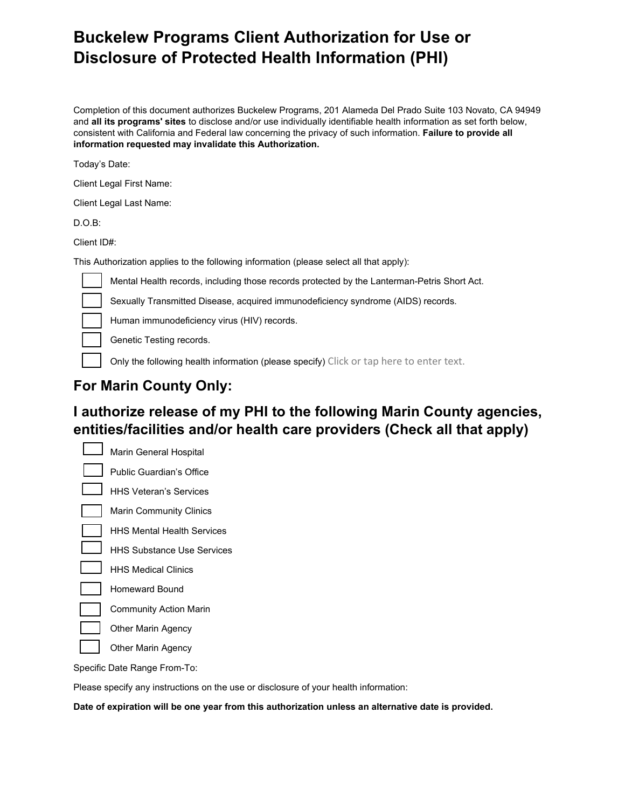# **Buckelew Programs Client Authorization for Use or Disclosure of Protected Health Information (PHI)**

Completion of this document authorizes Buckelew Programs, 201 Alameda Del Prado Suite 103 Novato, CA 94949 and **all its programs' sites** to disclose and/or use individually identifiable health information as set forth below, consistent with California and Federal law concerning the privacy of such information. **Failure to provide all information requested may invalidate this Authorization.**

Today's Date:

Client Legal First Name:

Client Legal Last Name:

D.O.B:

Client ID#:

This Authorization applies to the following information (please select all that apply):

Mental Health records, including those records protected by the Lanterman-Petris Short Act.

Sexually Transmitted Disease, acquired immunodeficiency syndrome (AIDS) records.

Human immunodeficiency virus (HIV) records.

Genetic Testing records.

Only the following health information (please specify) Click or tap here to enter text.

## **For Marin County Only:**

## **I authorize release of my PHI to the following Marin County agencies, entities/facilities and/or health care providers (Check all that apply)**

Marin General Hospital Public Guardian's Office HHS Veteran's Services Marin Community Clinics HHS Mental Health Services HHS Substance Use Services HHS Medical Clinics Homeward Bound Community Action Marin Other Marin Agency Other Marin Agency

Specific Date Range From-To:

Please specify any instructions on the use or disclosure of your health information:

**Date of expiration will be one year from this authorization unless an alternative date is provided.**